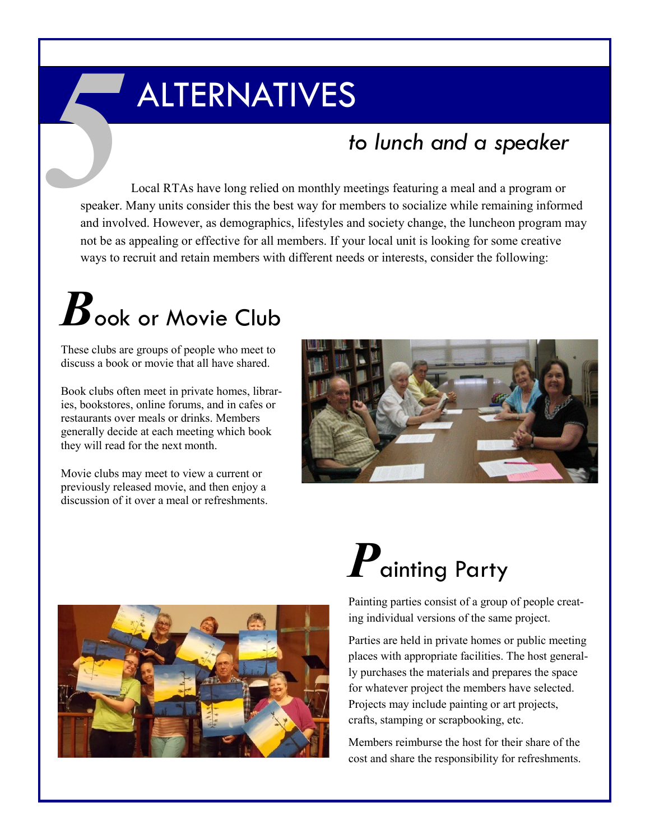#### ALTERNATIVES

#### *to lunch and a speaker*

Local RTAs have long relied on monthly meetings featuring a meal and a program or speaker. Many units consider this the best way for members to socialize while remaining informed and involved. However, as demographics, lifestyles and society change, the luncheon program may not be as appealing or effective for all members. If your local unit is looking for some creative ways to recruit and retain members with different needs or interests, consider the following: *Speaker.* 

## $B_{\text{ook or Movie Club}}$

These clubs are groups of people who meet to discuss a book or movie that all have shared.

Book clubs often meet in private homes, libraries, bookstores, online forums, and in cafes or restaurants over meals or drinks. Members generally decide at each meeting which book they will read for the next month.

Movie clubs may meet to view a current or previously released movie, and then enjoy a discussion of it over a meal or refreshments.





### *P*ainting Party

Painting parties consist of a group of people creating individual versions of the same project.

Parties are held in private homes or public meeting places with appropriate facilities. The host generally purchases the materials and prepares the space for whatever project the members have selected. Projects may include painting or art projects, crafts, stamping or scrapbooking, etc.

Members reimburse the host for their share of the cost and share the responsibility for refreshments.